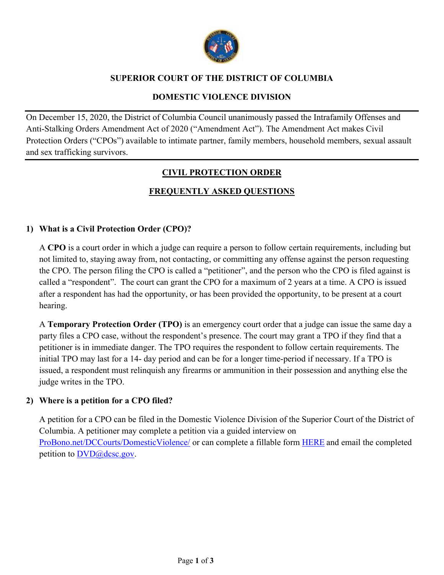

## **SUPERIOR COURT OF THE DISTRICT OF COLUMBIA**

## **DOMESTIC VIOLENCE DIVISION**

On December 15, 2020, the District of Columbia Council unanimously passed the Intrafamily Offenses and Anti-Stalking Orders Amendment Act of 2020 ("Amendment Act"). The Amendment Act makes Civil Protection Orders ("CPOs") available to intimate partner, family members, household members, sexual assault and sex trafficking survivors.

## **CIVIL PROTECTION ORDER**

# **FREQUENTLY ASKED QUESTIONS**

## **1) What is a Civil Protection Order (CPO)?**

A **CPO** is a court order in which a judge can require a person to follow certain requirements, including but not limited to, staying away from, not contacting, or committing any offense against the person requesting the CPO. The person filing the CPO is called a "petitioner", and the person who the CPO is filed against is called a "respondent". The court can grant the CPO for a maximum of 2 years at a time. A CPO is issued after a respondent has had the opportunity, or has been provided the opportunity, to be present at a court hearing.

A **Temporary Protection Order (TPO)** is an emergency court order that a judge can issue the same day a party files a CPO case, without the respondent's presence. The court may grant a TPO if they find that a petitioner is in immediate danger. The TPO requires the respondent to follow certain requirements. The initial TPO may last for a 14- day period and can be for a longer time-period if necessary. If a TPO is issued, a respondent must relinquish any firearms or ammunition in their possession and anything else the judge writes in the TPO.

## **2) Where is a petition for a CPO filed?**

A petition for a CPO can be filed in the Domestic Violence Division of the Superior Court of the District of Columbia. A petitioner may complete a petition via a guided interview on ProBono.net/DCCourts/DomesticViolence/ or can complete a fillable form HERE and email the completed petition to  $DVD@$  dcsc.gov.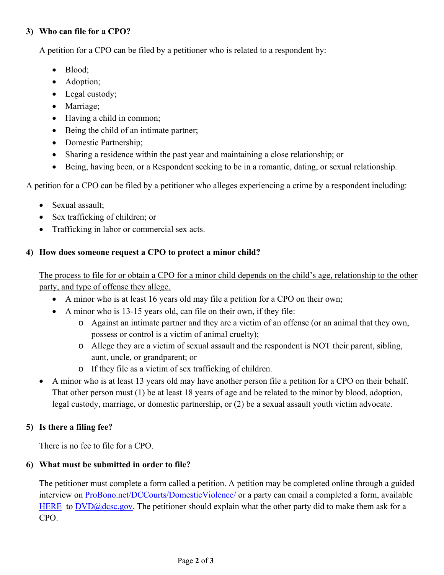## **3) Who can file for a CPO?**

A petition for a CPO can be filed by a petitioner who is related to a respondent by:

- Blood:
- Adoption;
- Legal custody;
- Marriage;
- Having a child in common;
- Being the child of an intimate partner;
- Domestic Partnership;
- Sharing a residence within the past year and maintaining a close relationship; or
- Being, having been, or a Respondent seeking to be in a romantic, dating, or sexual relationship.

A petition for a CPO can be filed by a petitioner who alleges experiencing a crime by a respondent including:

- Sexual assault:
- Sex trafficking of children; or
- Trafficking in labor or commercial sex acts.

## **4) How does someone request a CPO to protect a minor child?**

The process to file for or obtain a CPO for a minor child depends on the child's age, relationship to the other party, and type of offense they allege.

- A minor who is at least 16 years old may file a petition for a CPO on their own;
- A minor who is 13-15 years old, can file on their own, if they file:
	- o Against an intimate partner and they are a victim of an offense (or an animal that they own, possess or control is a victim of animal cruelty);
	- o Allege they are a victim of sexual assault and the respondent is NOT their parent, sibling, aunt, uncle, or grandparent; or
	- o If they file as a victim of sex trafficking of children.
- A minor who is at least 13 years old may have another person file a petition for a CPO on their behalf. That other person must (1) be at least 18 years of age and be related to the minor by blood, adoption, legal custody, marriage, or domestic partnership, or (2) be a sexual assault youth victim advocate.

## **5) Is there a filing fee?**

There is no fee to file for a CPO.

## **6) What must be submitted in order to file?**

The petitioner must complete a form called a petition. A petition may be completed online through a guided interview on ProBono.net/DCCourts/DomesticViolence/ or a party can email a completed a form, available HERE to  $\text{DVD}$ @dcsc.gov. The petitioner should explain what the other party did to make them ask for a CPO.